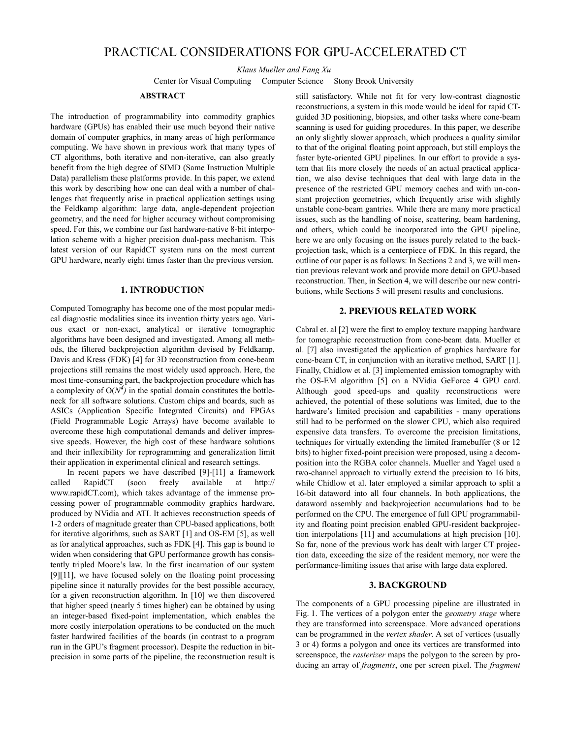# PRACTICAL CONSIDERATIONS FOR GPU-ACCELERATED CT

*Klaus Mueller and Fang Xu*

Center for Visual Computing Computer Science Stony Brook University

#### **ABSTRACT**

The introduction of programmability into commodity graphics hardware (GPUs) has enabled their use much beyond their native domain of computer graphics, in many areas of high performance computing. We have shown in previous work that many types of CT algorithms, both iterative and non-iterative, can also greatly benefit from the high degree of SIMD (Same Instruction Multiple Data) parallelism these platforms provide. In this paper, we extend this work by describing how one can deal with a number of challenges that frequently arise in practical application settings using the Feldkamp algorithm: large data, angle-dependent projection geometry, and the need for higher accuracy without compromising speed. For this, we combine our fast hardware-native 8-bit interpolation scheme with a higher precision dual-pass mechanism. This latest version of our RapidCT system runs on the most current GPU hardware, nearly eight times faster than the previous version.

# **1. INTRODUCTION**

Computed Tomography has become one of the most popular medical diagnostic modalities since its invention thirty years ago. Various exact or non-exact, analytical or iterative tomographic algorithms have been designed and investigated. Among all methods, the filtered backprojection algorithm devised by Feldkamp, Davis and Kress (FDK) [4] for 3D reconstruction from cone-beam projections still remains the most widely used approach. Here, the most time-consuming part, the backprojection procedure which has a complexity of  $O(N^4)$  in the spatial domain constitutes the bottleneck for all software solutions. Custom chips and boards, such as ASICs (Application Specific Integrated Circuits) and FPGAs (Field Programmable Logic Arrays) have become available to overcome these high computational demands and deliver impressive speeds. However, the high cost of these hardware solutions and their inflexibility for reprogramming and generalization limit their application in experimental clinical and research settings.

In recent papers we have described [9]-[11] a framework called RapidCT (soon freely available at http:// www.rapidCT.com), which takes advantage of the immense processing power of programmable commodity graphics hardware, produced by NVidia and ATI. It achieves reconstruction speeds of 1-2 orders of magnitude greater than CPU-based applications, both for iterative algorithms, such as SART [1] and OS-EM [5], as well as for analytical approaches, such as FDK [4]. This gap is bound to widen when considering that GPU performance growth has consistently tripled Moore's law. In the first incarnation of our system [9][11], we have focused solely on the floating point processing pipeline since it naturally provides for the best possible accuracy, for a given reconstruction algorithm. In [10] we then discovered that higher speed (nearly 5 times higher) can be obtained by using an integer-based fixed-point implementation, which enables the more costly interpolation operations to be conducted on the much faster hardwired facilities of the boards (in contrast to a program run in the GPU's fragment processor). Despite the reduction in bitprecision in some parts of the pipeline, the reconstruction result is

still satisfactory. While not fit for very low-contrast diagnostic reconstructions, a system in this mode would be ideal for rapid CTguided 3D positioning, biopsies, and other tasks where cone-beam scanning is used for guiding procedures. In this paper, we describe an only slightly slower approach, which produces a quality similar to that of the original floating point approach, but still employs the faster byte-oriented GPU pipelines. In our effort to provide a system that fits more closely the needs of an actual practical application, we also devise techniques that deal with large data in the presence of the restricted GPU memory caches and with un-constant projection geometries, which frequently arise with slightly unstable cone-beam gantries. While there are many more practical issues, such as the handling of noise, scattering, beam hardening, and others, which could be incorporated into the GPU pipeline, here we are only focusing on the issues purely related to the backprojection task, which is a centerpiece of FDK. In this regard, the outline of our paper is as follows: In Sections 2 and 3, we will mention previous relevant work and provide more detail on GPU-based reconstruction. Then, in Section 4, we will describe our new contributions, while Sections 5 will present results and conclusions.

# **2. PREVIOUS RELATED WORK**

Cabral et. al [2] were the first to employ texture mapping hardware for tomographic reconstruction from cone-beam data. Mueller et al. [7] also investigated the application of graphics hardware for cone-beam CT, in conjunction with an iterative method, SART [1]. Finally, Chidlow et al. [3] implemented emission tomography with the OS-EM algorithm [5] on a NVidia GeForce 4 GPU card. Although good speed-ups and quality reconstructions were achieved, the potential of these solutions was limited, due to the hardware's limited precision and capabilities - many operations still had to be performed on the slower CPU, which also required expensive data transfers. To overcome the precision limitations, techniques for virtually extending the limited framebuffer (8 or 12 bits) to higher fixed-point precision were proposed, using a decomposition into the RGBA color channels. Mueller and Yagel used a two-channel approach to virtually extend the precision to 16 bits, while Chidlow et al. later employed a similar approach to split a 16-bit dataword into all four channels. In both applications, the dataword assembly and backprojection accumulations had to be performed on the CPU. The emergence of full GPU programmability and floating point precision enabled GPU-resident backprojection interpolations [11] and accumulations at high precision [10]. So far, none of the previous work has dealt with larger CT projection data, exceeding the size of the resident memory, nor were the performance-limiting issues that arise with large data explored.

# **3. BACKGROUND**

The components of a GPU processing pipeline are illustrated in Fig. 1. The vertices of a polygon enter the *geometry stage* where they are transformed into screenspace. More advanced operations can be programmed in the *vertex shader*. A set of vertices (usually 3 or 4) forms a polygon and once its vertices are transformed into screenspace, the *rasterizer* maps the polygon to the screen by producing an array of *fragments*, one per screen pixel. The *fragment*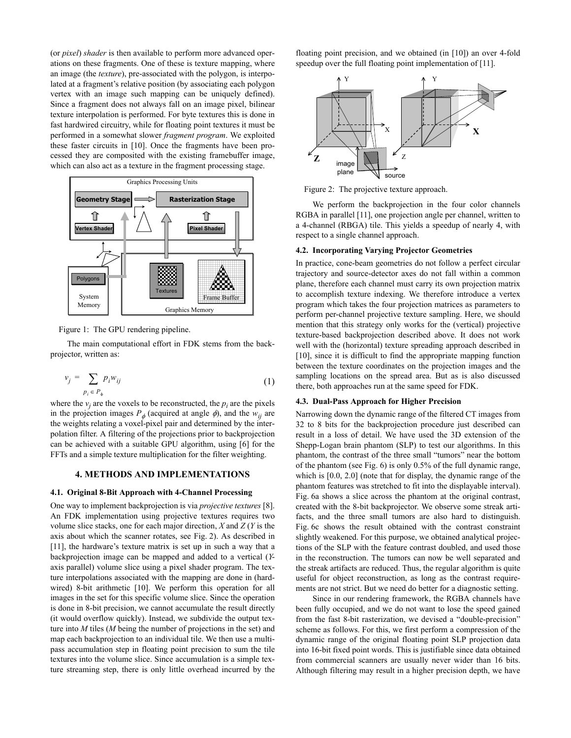(or *pixel*) *shader* is then available to perform more advanced operations on these fragments. One of these is texture mapping, where an image (the *texture*), pre-associated with the polygon, is interpolated at a fragment's relative position (by associating each polygon vertex with an image such mapping can be uniquely defined). Since a fragment does not always fall on an image pixel, bilinear texture interpolation is performed. For byte textures this is done in fast hardwired circuitry, while for floating point textures it must be performed in a somewhat slower *fragment program*. We exploited these faster circuits in [10]. Once the fragments have been processed they are composited with the existing framebuffer image, which can also act as a texture in the fragment processing stage.



Figure 1: The GPU rendering pipeline.

The main computational effort in FDK stems from the backprojector, written as:

$$
v_j = \sum_{p_i \in P_\phi} p_i w_{ij} \tag{1}
$$

where the  $v_j$  are the voxels to be reconstructed, the  $p_i$  are the pixels in the projection images  $P_{\phi}$  (acquired at angle  $\phi$ ), and the  $w_{ij}$  are the weights relating a voxel-pixel pair and determined by the interpolation filter. A filtering of the projections prior to backprojection can be achieved with a suitable GPU algorithm, using [6] for the FFTs and a simple texture multiplication for the filter weighting.

# **4. METHODS AND IMPLEMENTATIONS**

# **4.1. Original 8-Bit Approach with 4-Channel Processing**

One way to implement backprojection is via *projective textures* [8]. An FDK implementation using projective textures requires two volume slice stacks, one for each major direction, *X* and *Z* (*Y* is the axis about which the scanner rotates, see Fig. 2). As described in [11], the hardware's texture matrix is set up in such a way that a backprojection image can be mapped and added to a vertical (*Y*axis parallel) volume slice using a pixel shader program. The texture interpolations associated with the mapping are done in (hardwired) 8-bit arithmetic [10]. We perform this operation for all images in the set for this specific volume slice. Since the operation is done in 8-bit precision, we cannot accumulate the result directly (it would overflow quickly). Instead, we subdivide the output texture into *M* tiles (*M* being the number of projections in the set) and map each backprojection to an individual tile. We then use a multipass accumulation step in floating point precision to sum the tile textures into the volume slice. Since accumulation is a simple texture streaming step, there is only little overhead incurred by the

floating point precision, and we obtained (in [10]) an over 4-fold speedup over the full floating point implementation of [11].



Figure 2: The projective texture approach.

We perform the backprojection in the four color channels RGBA in parallel [11], one projection angle per channel, written to a 4-channel (RBGA) tile. This yields a speedup of nearly 4, with respect to a single channel approach.

#### **4.2. Incorporating Varying Projector Geometries**

In practice, cone-beam geometries do not follow a perfect circular trajectory and source-detector axes do not fall within a common plane, therefore each channel must carry its own projection matrix to accomplish texture indexing. We therefore introduce a vertex program which takes the four projection matrices as parameters to perform per-channel projective texture sampling. Here, we should mention that this strategy only works for the (vertical) projective texture-based backprojection described above. It does not work well with the (horizontal) texture spreading approach described in [10], since it is difficult to find the appropriate mapping function between the texture coordinates on the projection images and the sampling locations on the spread area. But as is also discussed there, both approaches run at the same speed for FDK.

#### **4.3. Dual-Pass Approach for Higher Precision**

Narrowing down the dynamic range of the filtered CT images from 32 to 8 bits for the backprojection procedure just described can result in a loss of detail. We have used the 3D extension of the Shepp-Logan brain phantom (SLP) to test our algorithms. In this phantom, the contrast of the three small "tumors" near the bottom of the phantom (see Fig. 6) is only 0.5% of the full dynamic range, which is  $[0.0, 2.0]$  (note that for display, the dynamic range of the phantom features was stretched to fit into the displayable interval). Fig. 6a shows a slice across the phantom at the original contrast, created with the 8-bit backprojector. We observe some streak artifacts, and the three small tumors are also hard to distinguish. Fig. 6c shows the result obtained with the contrast constraint slightly weakened. For this purpose, we obtained analytical projections of the SLP with the feature contrast doubled, and used those in the reconstruction. The tumors can now be well separated and the streak artifacts are reduced. Thus, the regular algorithm is quite useful for object reconstruction, as long as the contrast requirements are not strict. But we need do better for a diagnostic setting.

Since in our rendering framework, the RGBA channels have been fully occupied, and we do not want to lose the speed gained from the fast 8-bit rasterization, we devised a "double-precision" scheme as follows. For this, we first perform a compression of the dynamic range of the original floating point SLP projection data into 16-bit fixed point words. This is justifiable since data obtained from commercial scanners are usually never wider than 16 bits. Although filtering may result in a higher precision depth, we have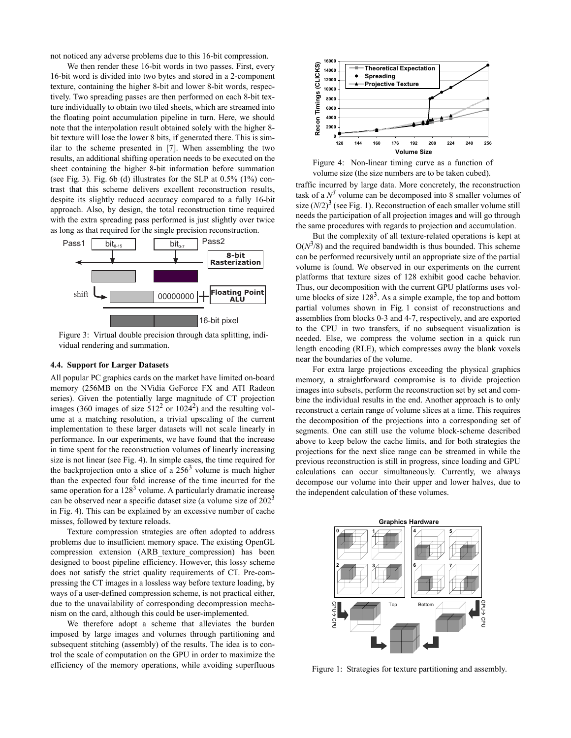not noticed any adverse problems due to this 16-bit compression.

We then render these 16-bit words in two passes. First, every 16-bit word is divided into two bytes and stored in a 2-component texture, containing the higher 8-bit and lower 8-bit words, respectively. Two spreading passes are then performed on each 8-bit texture individually to obtain two tiled sheets, which are streamed into the floating point accumulation pipeline in turn. Here, we should note that the interpolation result obtained solely with the higher 8 bit texture will lose the lower 8 bits, if generated there. This is similar to the scheme presented in [7]. When assembling the two results, an additional shifting operation needs to be executed on the sheet containing the higher 8-bit information before summation (see Fig. 3). Fig. 6b (d) illustrates for the SLP at 0.5% (1%) contrast that this scheme delivers excellent reconstruction results, despite its slightly reduced accuracy compared to a fully 16-bit approach. Also, by design, the total reconstruction time required with the extra spreading pass performed is just slightly over twice as long as that required for the single precision reconstruction.



Figure 3: Virtual double precision through data splitting, individual rendering and summation.

#### **4.4. Support for Larger Datasets**

All popular PC graphics cards on the market have limited on-board memory (256MB on the NVidia GeForce FX and ATI Radeon series). Given the potentially large magnitude of CT projection images (360 images of size  $512^2$  or  $1024^2$ ) and the resulting volume at a matching resolution, a trivial upscaling of the current implementation to these larger datasets will not scale linearly in performance. In our experiments, we have found that the increase in time spent for the reconstruction volumes of linearly increasing size is not linear (see Fig. 4). In simple cases, the time required for the backprojection onto a slice of a  $256<sup>3</sup>$  volume is much higher than the expected four fold increase of the time incurred for the same operation for a  $128<sup>3</sup>$  volume. A particularly dramatic increase can be observed near a specific dataset size (a volume size of  $202<sup>3</sup>$ in Fig. 4). This can be explained by an excessive number of cache misses, followed by texture reloads.

Texture compression strategies are often adopted to address problems due to insufficient memory space. The existing OpenGL compression extension (ARB\_texture\_compression) has been designed to boost pipeline efficiency. However, this lossy scheme does not satisfy the strict quality requirements of CT. Pre-compressing the CT images in a lossless way before texture loading, by ways of a user-defined compression scheme, is not practical either, due to the unavailability of corresponding decompression mechanism on the card, although this could be user-implemented.

We therefore adopt a scheme that alleviates the burden imposed by large images and volumes through partitioning and subsequent stitching (assembly) of the results. The idea is to control the scale of computation on the GPU in order to maximize the efficiency of the memory operations, while avoiding superfluous



Figure 4: Non-linear timing curve as a function of volume size (the size numbers are to be taken cubed).

traffic incurred by large data. More concretely, the reconstruction task of a  $N^3$  volume can be decomposed into 8 smaller volumes of size  $(N/2)^3$  (see Fig. 1). Reconstruction of each smaller volume still needs the participation of all projection images and will go through the same procedures with regards to projection and accumulation.

But the complexity of all texture-related operations is kept at  $O(N^3/8)$  and the required bandwidth is thus bounded. This scheme can be performed recursively until an appropriate size of the partial volume is found. We observed in our experiments on the current platforms that texture sizes of 128 exhibit good cache behavior. Thus, our decomposition with the current GPU platforms uses volume blocks of size  $128<sup>3</sup>$ . As a simple example, the top and bottom partial volumes shown in Fig. 1 consist of reconstructions and assemblies from blocks 0-3 and 4-7, respectively, and are exported to the CPU in two transfers, if no subsequent visualization is needed. Else, we compress the volume section in a quick run length encoding (RLE), which compresses away the blank voxels near the boundaries of the volume.

For extra large projections exceeding the physical graphics memory, a straightforward compromise is to divide projection images into subsets, perform the reconstruction set by set and combine the individual results in the end. Another approach is to only reconstruct a certain range of volume slices at a time. This requires the decomposition of the projections into a corresponding set of segments. One can still use the volume block-scheme described above to keep below the cache limits, and for both strategies the projections for the next slice range can be streamed in while the previous reconstruction is still in progress, since loading and GPU calculations can occur simultaneously. Currently, we always decompose our volume into their upper and lower halves, due to the independent calculation of these volumes.



Figure 1: Strategies for texture partitioning and assembly.